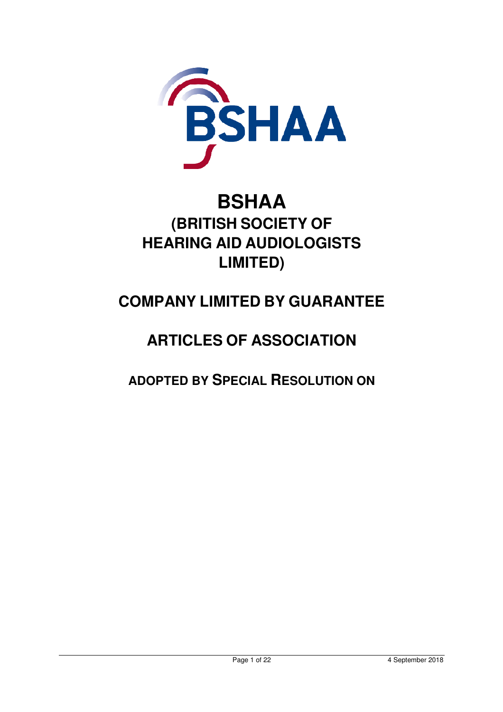

# **BSHAA (BRITISH SOCIETY OF HEARING AID AUDIOLOGISTS LIMITED)**

# **COMPANY LIMITED BY GUARANTEE**

# **ARTICLES OF ASSOCIATION**

**ADOPTED BY SPECIAL RESOLUTION ON**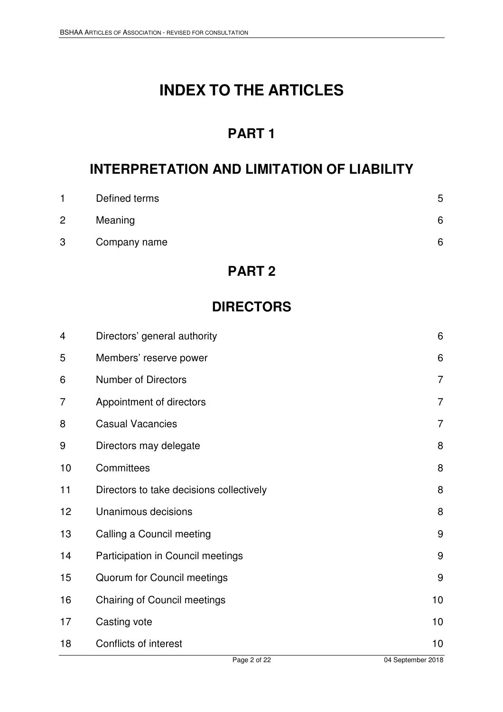# **INDEX TO THE ARTICLES**

### **PART 1**

### **INTERPRETATION AND LIMITATION OF LIABILITY**

|   | Defined terms | 5 |
|---|---------------|---|
| 2 | Meaning       | 6 |
| 3 | Company name  | 6 |

### **PART 2**

### **DIRECTORS**

| $\overline{4}$ | Directors' general authority             | 6              |
|----------------|------------------------------------------|----------------|
| 5              | Members' reserve power                   | 6              |
| 6              | <b>Number of Directors</b>               | $\overline{7}$ |
| 7              | Appointment of directors                 | $\overline{7}$ |
| 8              | <b>Casual Vacancies</b>                  | $\overline{7}$ |
| 9              | Directors may delegate                   | 8              |
| 10             | Committees                               | 8              |
| 11             | Directors to take decisions collectively | 8              |
| 12             | Unanimous decisions                      | 8              |
| 13             | Calling a Council meeting                | 9              |
| 14             | Participation in Council meetings        | $9\,$          |
| 15             | Quorum for Council meetings              | 9              |
| 16             | <b>Chairing of Council meetings</b>      | 10             |
| 17             | Casting vote                             | 10             |
| 18             | <b>Conflicts of interest</b>             | 10             |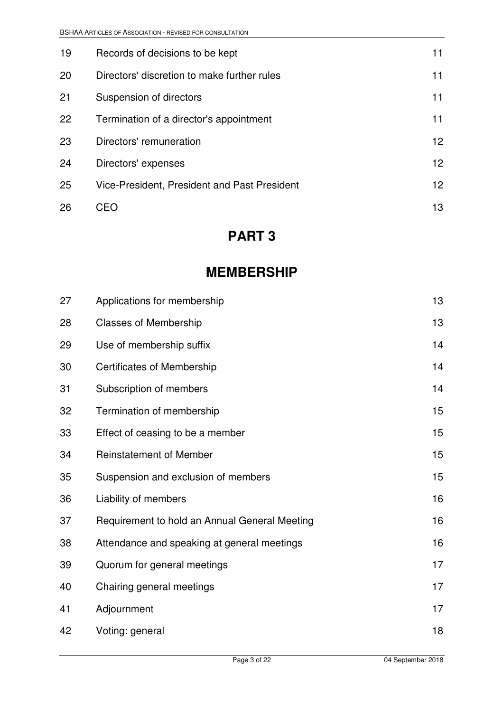| 19 | Records of decisions to be kept              | 11 |
|----|----------------------------------------------|----|
| 20 | Directors' discretion to make further rules  | 11 |
| 21 | Suspension of directors                      | 11 |
| 22 | Termination of a director's appointment      | 11 |
| 23 | Directors' remuneration                      | 12 |
| 24 | Directors' expenses                          | 12 |
| 25 | Vice-President, President and Past President | 12 |
| 26 | CEO                                          | 13 |

### **PART 3**

### **MEMBERSHIP**

| 27 | Applications for membership                   | 13 |
|----|-----------------------------------------------|----|
| 28 | <b>Classes of Membership</b>                  | 13 |
| 29 | Use of membership suffix                      | 14 |
| 30 | <b>Certificates of Membership</b>             | 14 |
| 31 | Subscription of members                       | 14 |
| 32 | Termination of membership                     | 15 |
| 33 | Effect of ceasing to be a member              | 15 |
| 34 | <b>Reinstatement of Member</b>                | 15 |
| 35 | Suspension and exclusion of members           | 15 |
| 36 | Liability of members                          | 16 |
| 37 | Requirement to hold an Annual General Meeting | 16 |
| 38 | Attendance and speaking at general meetings   | 16 |
| 39 | Quorum for general meetings                   | 17 |
| 40 | Chairing general meetings                     | 17 |
| 41 | Adjournment                                   | 17 |
| 42 | Voting: general                               | 18 |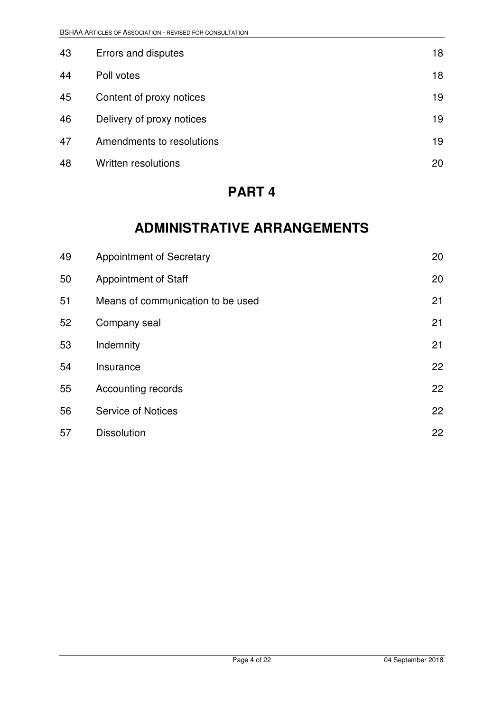| 43 | Errors and disputes       | 18 |
|----|---------------------------|----|
| 44 | Poll votes                | 18 |
| 45 | Content of proxy notices  | 19 |
| 46 | Delivery of proxy notices | 19 |
| 47 | Amendments to resolutions | 19 |
| 48 | Written resolutions       | 20 |

### **PART 4**

### **ADMINISTRATIVE ARRANGEMENTS**

| 49 | <b>Appointment of Secretary</b>   | 20 |
|----|-----------------------------------|----|
| 50 | <b>Appointment of Staff</b>       | 20 |
| 51 | Means of communication to be used | 21 |
| 52 | Company seal                      | 21 |
| 53 | Indemnity                         | 21 |
| 54 | Insurance                         | 22 |
| 55 | Accounting records                | 22 |
| 56 | <b>Service of Notices</b>         | 22 |
| 57 | <b>Dissolution</b>                | 22 |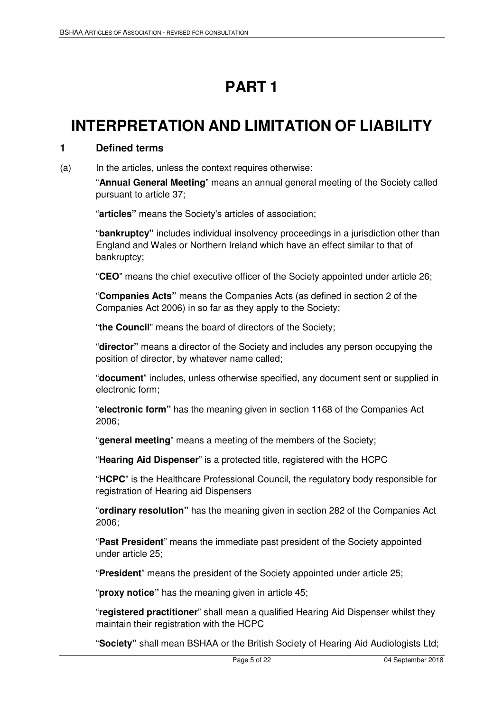# **PART 1**

# **INTERPRETATION AND LIMITATION OF LIABILITY**

#### **1 Defined terms**

(a) In the articles, unless the context requires otherwise:

"**Annual General Meeting**" means an annual general meeting of the Society called pursuant to article 37;

"**articles"** means the Society's articles of association;

"**bankruptcy"** includes individual insolvency proceedings in a jurisdiction other than England and Wales or Northern Ireland which have an effect similar to that of bankruptcy;

"**CEO**" means the chief executive officer of the Society appointed under article 26;

"**Companies Acts"** means the Companies Acts (as defined in section 2 of the Companies Act 2006) in so far as they apply to the Society;

"**the Council**" means the board of directors of the Society;

"**director"** means a director of the Society and includes any person occupying the position of director, by whatever name called;

"**document**" includes, unless otherwise specified, any document sent or supplied in electronic form;

"**electronic form"** has the meaning given in section 1168 of the Companies Act 2006;

"**general meeting**" means a meeting of the members of the Society;

"**Hearing Aid Dispenser**" is a protected title, registered with the HCPC

"**HCPC**" is the Healthcare Professional Council, the regulatory body responsible for registration of Hearing aid Dispensers

"**ordinary resolution"** has the meaning given in section 282 of the Companies Act 2006;

"**Past President**" means the immediate past president of the Society appointed under article 25;

"**President**" means the president of the Society appointed under article 25;

"**proxy notice"** has the meaning given in article 45;

"**registered practitioner**" shall mean a qualified Hearing Aid Dispenser whilst they maintain their registration with the HCPC

"**Society"** shall mean BSHAA or the British Society of Hearing Aid Audiologists Ltd;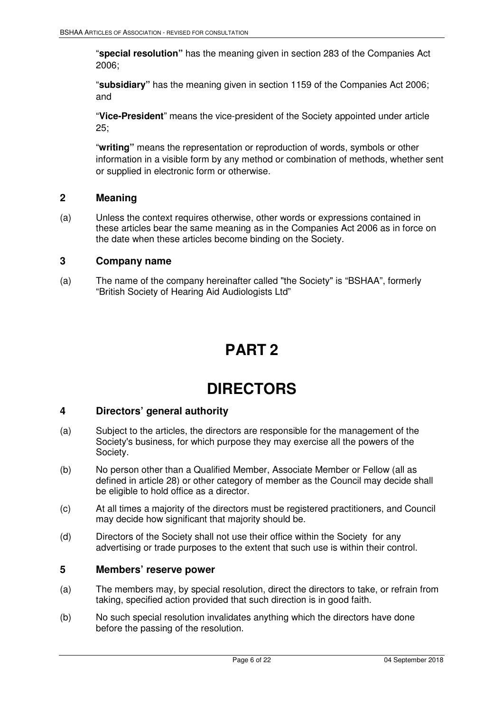"**special resolution"** has the meaning given in section 283 of the Companies Act 2006;

"**subsidiary"** has the meaning given in section 1159 of the Companies Act 2006; and

"**Vice-President**" means the vice-president of the Society appointed under article  $25:$ 

"**writing"** means the representation or reproduction of words, symbols or other information in a visible form by any method or combination of methods, whether sent or supplied in electronic form or otherwise.

#### **2 Meaning**

(a) Unless the context requires otherwise, other words or expressions contained in these articles bear the same meaning as in the Companies Act 2006 as in force on the date when these articles become binding on the Society.

#### **3 Company name**

(a) The name of the company hereinafter called "the Society" is "BSHAA", formerly "British Society of Hearing Aid Audiologists Ltd"

## **PART 2**

### **DIRECTORS**

#### **4 Directors' general authority**

- (a) Subject to the articles, the directors are responsible for the management of the Society's business, for which purpose they may exercise all the powers of the Society.
- (b) No person other than a Qualified Member, Associate Member or Fellow (all as defined in article 28) or other category of member as the Council may decide shall be eligible to hold office as a director.
- (c) At all times a majority of the directors must be registered practitioners, and Council may decide how significant that majority should be.
- (d) Directors of the Society shall not use their office within the Society for any advertising or trade purposes to the extent that such use is within their control.

#### **5 Members' reserve power**

- (a) The members may, by special resolution, direct the directors to take, or refrain from taking, specified action provided that such direction is in good faith.
- (b) No such special resolution invalidates anything which the directors have done before the passing of the resolution.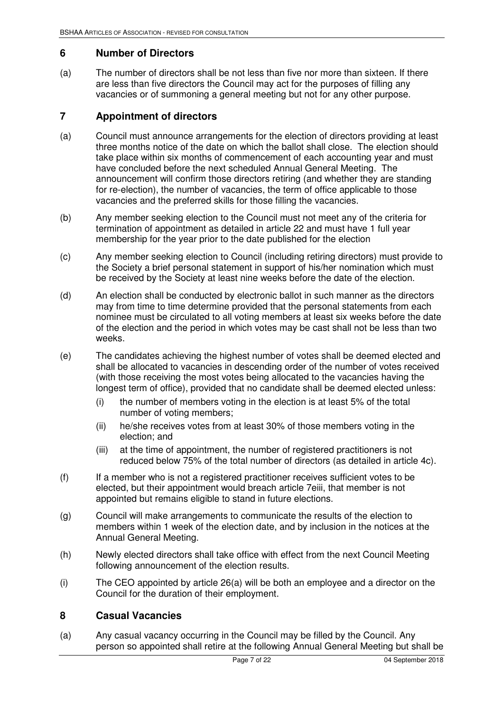#### **6 Number of Directors**

(a) The number of directors shall be not less than five nor more than sixteen. If there are less than five directors the Council may act for the purposes of filling any vacancies or of summoning a general meeting but not for any other purpose.

#### **7 Appointment of directors**

- (a) Council must announce arrangements for the election of directors providing at least three months notice of the date on which the ballot shall close. The election should take place within six months of commencement of each accounting year and must have concluded before the next scheduled Annual General Meeting. The announcement will confirm those directors retiring (and whether they are standing for re-election), the number of vacancies, the term of office applicable to those vacancies and the preferred skills for those filling the vacancies.
- (b) Any member seeking election to the Council must not meet any of the criteria for termination of appointment as detailed in article 22 and must have 1 full year membership for the year prior to the date published for the election
- (c) Any member seeking election to Council (including retiring directors) must provide to the Society a brief personal statement in support of his/her nomination which must be received by the Society at least nine weeks before the date of the election.
- (d) An election shall be conducted by electronic ballot in such manner as the directors may from time to time determine provided that the personal statements from each nominee must be circulated to all voting members at least six weeks before the date of the election and the period in which votes may be cast shall not be less than two weeks.
- (e) The candidates achieving the highest number of votes shall be deemed elected and shall be allocated to vacancies in descending order of the number of votes received (with those receiving the most votes being allocated to the vacancies having the longest term of office), provided that no candidate shall be deemed elected unless:
	- (i) the number of members voting in the election is at least 5% of the total number of voting members;
	- (ii) he/she receives votes from at least 30% of those members voting in the election; and
	- (iii) at the time of appointment, the number of registered practitioners is not reduced below 75% of the total number of directors (as detailed in article 4c).
- (f) If a member who is not a registered practitioner receives sufficient votes to be elected, but their appointment would breach article 7eiii, that member is not appointed but remains eligible to stand in future elections.
- (g) Council will make arrangements to communicate the results of the election to members within 1 week of the election date, and by inclusion in the notices at the Annual General Meeting.
- (h) Newly elected directors shall take office with effect from the next Council Meeting following announcement of the election results.
- (i) The CEO appointed by article 26(a) will be both an employee and a director on the Council for the duration of their employment.

#### **8 Casual Vacancies**

(a) Any casual vacancy occurring in the Council may be filled by the Council. Any person so appointed shall retire at the following Annual General Meeting but shall be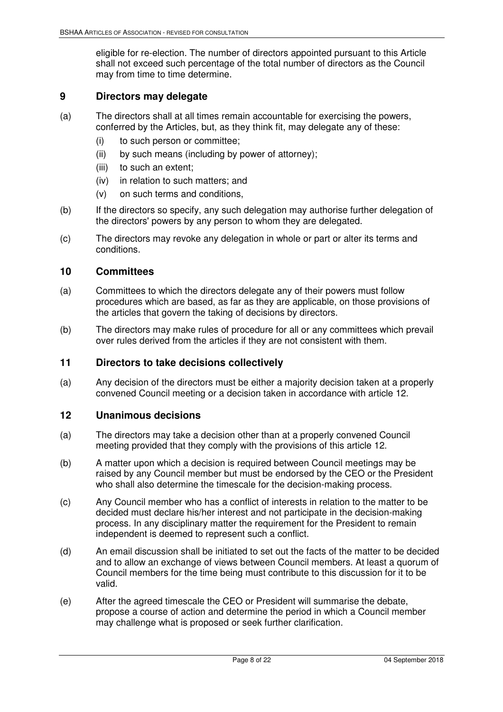eligible for re-election. The number of directors appointed pursuant to this Article shall not exceed such percentage of the total number of directors as the Council may from time to time determine.

#### **9 Directors may delegate**

- (a) The directors shall at all times remain accountable for exercising the powers, conferred by the Articles, but, as they think fit, may delegate any of these:
	- (i) to such person or committee;
	- (ii) by such means (including by power of attorney);
	- (iii) to such an extent;
	- (iv) in relation to such matters; and
	- (v) on such terms and conditions,
- (b) If the directors so specify, any such delegation may authorise further delegation of the directors' powers by any person to whom they are delegated.
- (c) The directors may revoke any delegation in whole or part or alter its terms and conditions.

#### **10 Committees**

- (a) Committees to which the directors delegate any of their powers must follow procedures which are based, as far as they are applicable, on those provisions of the articles that govern the taking of decisions by directors.
- (b) The directors may make rules of procedure for all or any committees which prevail over rules derived from the articles if they are not consistent with them.

#### **11 Directors to take decisions collectively**

(a) Any decision of the directors must be either a majority decision taken at a properly convened Council meeting or a decision taken in accordance with article 12.

#### **12 Unanimous decisions**

- (a) The directors may take a decision other than at a properly convened Council meeting provided that they comply with the provisions of this article 12.
- (b) A matter upon which a decision is required between Council meetings may be raised by any Council member but must be endorsed by the CEO or the President who shall also determine the timescale for the decision-making process.
- (c) Any Council member who has a conflict of interests in relation to the matter to be decided must declare his/her interest and not participate in the decision-making process. In any disciplinary matter the requirement for the President to remain independent is deemed to represent such a conflict.
- (d) An email discussion shall be initiated to set out the facts of the matter to be decided and to allow an exchange of views between Council members. At least a quorum of Council members for the time being must contribute to this discussion for it to be valid.
- (e) After the agreed timescale the CEO or President will summarise the debate, propose a course of action and determine the period in which a Council member may challenge what is proposed or seek further clarification.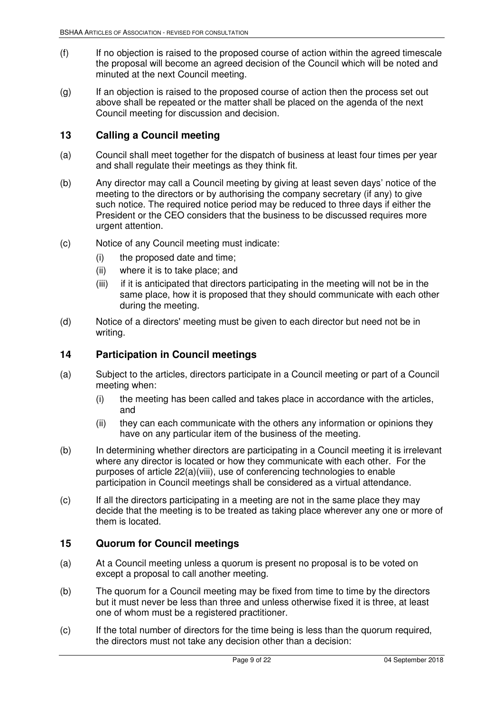- (f) If no objection is raised to the proposed course of action within the agreed timescale the proposal will become an agreed decision of the Council which will be noted and minuted at the next Council meeting.
- (g) If an objection is raised to the proposed course of action then the process set out above shall be repeated or the matter shall be placed on the agenda of the next Council meeting for discussion and decision.

#### **13 Calling a Council meeting**

- (a) Council shall meet together for the dispatch of business at least four times per year and shall regulate their meetings as they think fit.
- (b) Any director may call a Council meeting by giving at least seven days' notice of the meeting to the directors or by authorising the company secretary (if any) to give such notice. The required notice period may be reduced to three days if either the President or the CEO considers that the business to be discussed requires more urgent attention.
- (c) Notice of any Council meeting must indicate:
	- (i) the proposed date and time;
	- (ii) where it is to take place; and
	- (iii) if it is anticipated that directors participating in the meeting will not be in the same place, how it is proposed that they should communicate with each other during the meeting.
- (d) Notice of a directors' meeting must be given to each director but need not be in writing.

#### **14 Participation in Council meetings**

- (a) Subject to the articles, directors participate in a Council meeting or part of a Council meeting when:
	- (i) the meeting has been called and takes place in accordance with the articles, and
	- (ii) they can each communicate with the others any information or opinions they have on any particular item of the business of the meeting.
- (b) In determining whether directors are participating in a Council meeting it is irrelevant where any director is located or how they communicate with each other. For the purposes of article 22(a)(viii), use of conferencing technologies to enable participation in Council meetings shall be considered as a virtual attendance.
- (c) If all the directors participating in a meeting are not in the same place they may decide that the meeting is to be treated as taking place wherever any one or more of them is located.

#### **15 Quorum for Council meetings**

- (a) At a Council meeting unless a quorum is present no proposal is to be voted on except a proposal to call another meeting.
- (b) The quorum for a Council meeting may be fixed from time to time by the directors but it must never be less than three and unless otherwise fixed it is three, at least one of whom must be a registered practitioner.
- (c) If the total number of directors for the time being is less than the quorum required, the directors must not take any decision other than a decision: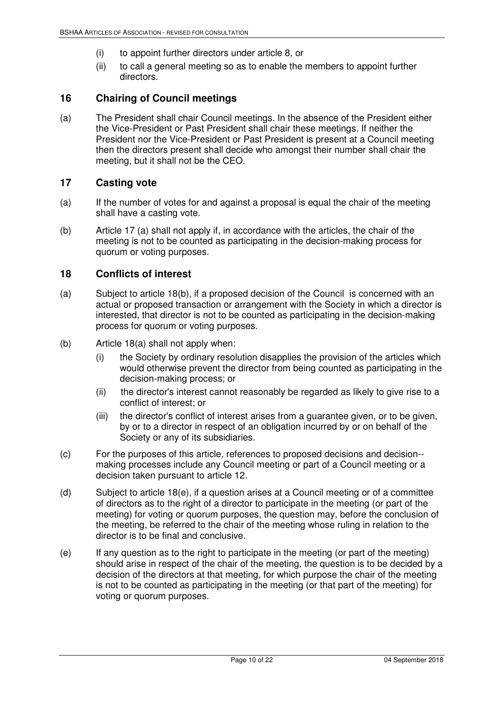- (i) to appoint further directors under article 8, or
- (ii) to call a general meeting so as to enable the members to appoint further directors.

#### **16 Chairing of Council meetings**

(a) The President shall chair Council meetings. In the absence of the President either the Vice-President or Past President shall chair these meetings. If neither the President nor the Vice-President or Past President is present at a Council meeting then the directors present shall decide who amongst their number shall chair the meeting, but it shall not be the CEO.

#### **17 Casting vote**

- (a) If the number of votes for and against a proposal is equal the chair of the meeting shall have a casting vote.
- (b) Article 17 (a) shall not apply if, in accordance with the articles, the chair of the meeting is not to be counted as participating in the decision-making process for quorum or voting purposes.

#### **18 Conflicts of interest**

- (a) Subject to article 18(b), if a proposed decision of the Council is concerned with an actual or proposed transaction or arrangement with the Society in which a director is interested, that director is not to be counted as participating in the decision-making process for quorum or voting purposes.
- (b) Article 18(a) shall not apply when:
	- (i) the Society by ordinary resolution disapplies the provision of the articles which would otherwise prevent the director from being counted as participating in the decision-making process; or
	- (ii) the director's interest cannot reasonably be regarded as likely to give rise to a conflict of interest; or
	- (iii) the director's conflict of interest arises from a guarantee given, or to be given, by or to a director in respect of an obligation incurred by or on behalf of the Society or any of its subsidiaries.
- (c) For the purposes of this article, references to proposed decisions and decision- making processes include any Council meeting or part of a Council meeting or a decision taken pursuant to article 12.
- (d) Subject to article 18(e), if a question arises at a Council meeting or of a committee of directors as to the right of a director to participate in the meeting (or part of the meeting) for voting or quorum purposes, the question may, before the conclusion of the meeting, be referred to the chair of the meeting whose ruling in relation to the director is to be final and conclusive.
- (e) If any question as to the right to participate in the meeting (or part of the meeting) should arise in respect of the chair of the meeting, the question is to be decided by a decision of the directors at that meeting, for which purpose the chair of the meeting is not to be counted as participating in the meeting (or that part of the meeting) for voting or quorum purposes.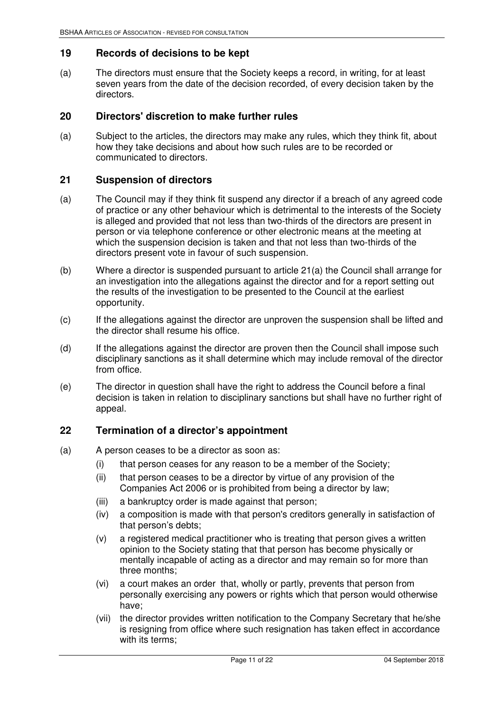#### **19 Records of decisions to be kept**

(a) The directors must ensure that the Society keeps a record, in writing, for at least seven years from the date of the decision recorded, of every decision taken by the directors.

#### **20 Directors' discretion to make further rules**

(a) Subject to the articles, the directors may make any rules, which they think fit, about how they take decisions and about how such rules are to be recorded or communicated to directors.

#### **21 Suspension of directors**

- (a) The Council may if they think fit suspend any director if a breach of any agreed code of practice or any other behaviour which is detrimental to the interests of the Society is alleged and provided that not less than two-thirds of the directors are present in person or via telephone conference or other electronic means at the meeting at which the suspension decision is taken and that not less than two-thirds of the directors present vote in favour of such suspension.
- (b) Where a director is suspended pursuant to article 21(a) the Council shall arrange for an investigation into the allegations against the director and for a report setting out the results of the investigation to be presented to the Council at the earliest opportunity.
- (c) If the allegations against the director are unproven the suspension shall be lifted and the director shall resume his office.
- (d) If the allegations against the director are proven then the Council shall impose such disciplinary sanctions as it shall determine which may include removal of the director from office.
- (e) The director in question shall have the right to address the Council before a final decision is taken in relation to disciplinary sanctions but shall have no further right of appeal.

#### **22 Termination of a director's appointment**

- (a) A person ceases to be a director as soon as:
	- (i) that person ceases for any reason to be a member of the Society;
	- (ii) that person ceases to be a director by virtue of any provision of the Companies Act 2006 or is prohibited from being a director by law;
	- (iii) a bankruptcy order is made against that person;
	- (iv) a composition is made with that person's creditors generally in satisfaction of that person's debts;
	- (v) a registered medical practitioner who is treating that person gives a written opinion to the Society stating that that person has become physically or mentally incapable of acting as a director and may remain so for more than three months;
	- (vi) a court makes an order that, wholly or partly, prevents that person from personally exercising any powers or rights which that person would otherwise have;
	- (vii) the director provides written notification to the Company Secretary that he/she is resigning from office where such resignation has taken effect in accordance with its terms;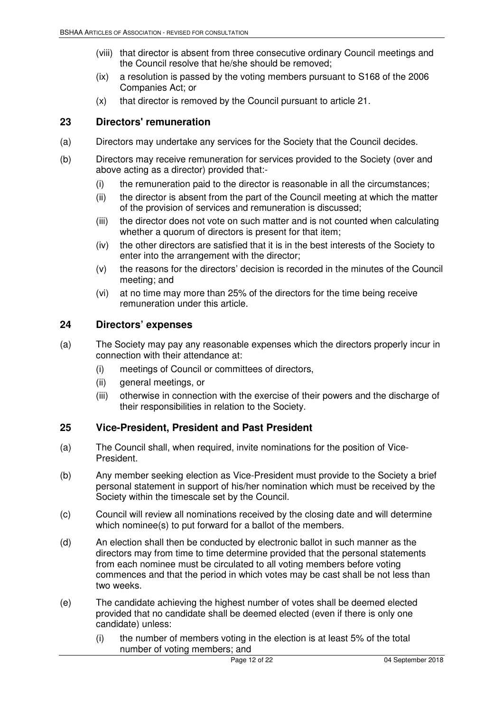- (viii) that director is absent from three consecutive ordinary Council meetings and the Council resolve that he/she should be removed;
- (ix) a resolution is passed by the voting members pursuant to S168 of the 2006 Companies Act; or
- (x) that director is removed by the Council pursuant to article 21.

#### **23 Directors' remuneration**

- (a) Directors may undertake any services for the Society that the Council decides.
- (b) Directors may receive remuneration for services provided to the Society (over and above acting as a director) provided that:-
	- (i) the remuneration paid to the director is reasonable in all the circumstances;
	- (ii) the director is absent from the part of the Council meeting at which the matter of the provision of services and remuneration is discussed;
	- (iii) the director does not vote on such matter and is not counted when calculating whether a quorum of directors is present for that item;
	- (iv) the other directors are satisfied that it is in the best interests of the Society to enter into the arrangement with the director;
	- (v) the reasons for the directors' decision is recorded in the minutes of the Council meeting; and
	- (vi) at no time may more than 25% of the directors for the time being receive remuneration under this article.

#### **24 Directors' expenses**

- (a) The Society may pay any reasonable expenses which the directors properly incur in connection with their attendance at:
	- (i) meetings of Council or committees of directors,
	- (ii) general meetings, or
	- (iii) otherwise in connection with the exercise of their powers and the discharge of their responsibilities in relation to the Society.

#### **25 Vice-President, President and Past President**

- (a) The Council shall, when required, invite nominations for the position of Vice-President.
- (b) Any member seeking election as Vice-President must provide to the Society a brief personal statement in support of his/her nomination which must be received by the Society within the timescale set by the Council.
- (c) Council will review all nominations received by the closing date and will determine which nominee(s) to put forward for a ballot of the members.
- (d) An election shall then be conducted by electronic ballot in such manner as the directors may from time to time determine provided that the personal statements from each nominee must be circulated to all voting members before voting commences and that the period in which votes may be cast shall be not less than two weeks.
- (e) The candidate achieving the highest number of votes shall be deemed elected provided that no candidate shall be deemed elected (even if there is only one candidate) unless:
	- (i) the number of members voting in the election is at least 5% of the total number of voting members; and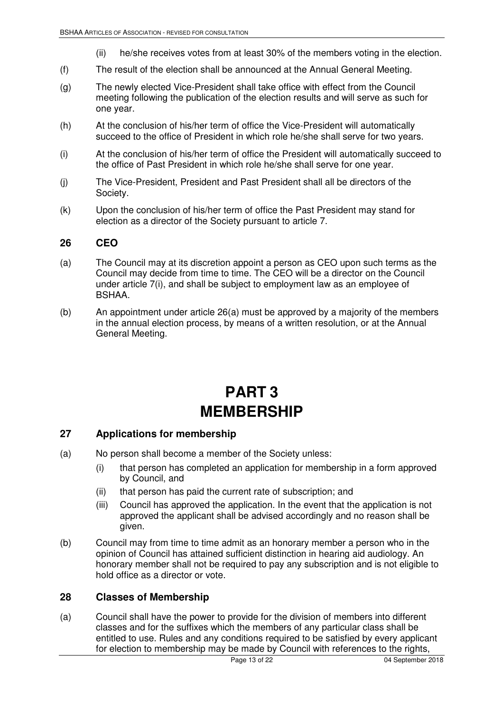- (ii) he/she receives votes from at least 30% of the members voting in the election.
- (f) The result of the election shall be announced at the Annual General Meeting.
- (g) The newly elected Vice-President shall take office with effect from the Council meeting following the publication of the election results and will serve as such for one year.
- (h) At the conclusion of his/her term of office the Vice-President will automatically succeed to the office of President in which role he/she shall serve for two years.
- (i) At the conclusion of his/her term of office the President will automatically succeed to the office of Past President in which role he/she shall serve for one year.
- (j) The Vice-President, President and Past President shall all be directors of the Society.
- (k) Upon the conclusion of his/her term of office the Past President may stand for election as a director of the Society pursuant to article 7.

#### **26 CEO**

- (a) The Council may at its discretion appoint a person as CEO upon such terms as the Council may decide from time to time. The CEO will be a director on the Council under article 7(i), and shall be subject to employment law as an employee of BSHAA.
- (b) An appointment under article 26(a) must be approved by a majority of the members in the annual election process, by means of a written resolution, or at the Annual General Meeting.

## **PART 3 MEMBERSHIP**

#### **27 Applications for membership**

- (a) No person shall become a member of the Society unless:
	- (i) that person has completed an application for membership in a form approved by Council, and
	- (ii) that person has paid the current rate of subscription; and
	- (iii) Council has approved the application. In the event that the application is not approved the applicant shall be advised accordingly and no reason shall be given.
- (b) Council may from time to time admit as an honorary member a person who in the opinion of Council has attained sufficient distinction in hearing aid audiology. An honorary member shall not be required to pay any subscription and is not eligible to hold office as a director or vote.

#### **28 Classes of Membership**

(a) Council shall have the power to provide for the division of members into different classes and for the suffixes which the members of any particular class shall be entitled to use. Rules and any conditions required to be satisfied by every applicant for election to membership may be made by Council with references to the rights,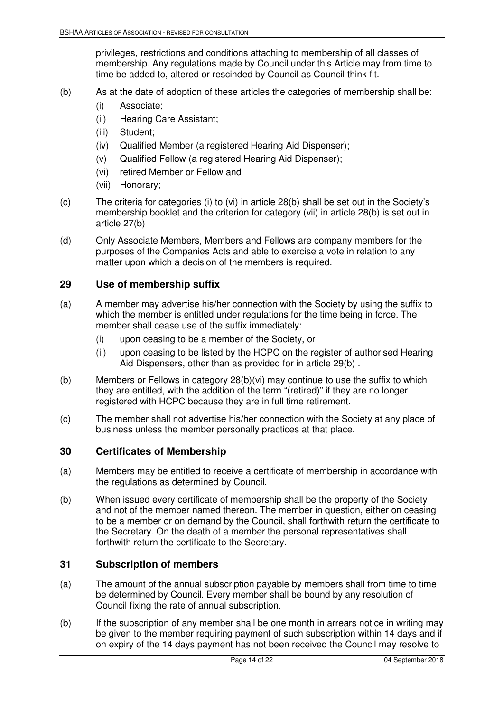privileges, restrictions and conditions attaching to membership of all classes of membership. Any regulations made by Council under this Article may from time to time be added to, altered or rescinded by Council as Council think fit.

- (b) As at the date of adoption of these articles the categories of membership shall be:
	- (i) Associate;
	- (ii) Hearing Care Assistant;
	- (iii) Student;
	- (iv) Qualified Member (a registered Hearing Aid Dispenser);
	- (v) Qualified Fellow (a registered Hearing Aid Dispenser);
	- (vi) retired Member or Fellow and
	- (vii) Honorary;
- (c) The criteria for categories (i) to (vi) in article 28(b) shall be set out in the Society's membership booklet and the criterion for category (vii) in article 28(b) is set out in article 27(b)
- (d) Only Associate Members, Members and Fellows are company members for the purposes of the Companies Acts and able to exercise a vote in relation to any matter upon which a decision of the members is required.

#### **29 Use of membership suffix**

- (a) A member may advertise his/her connection with the Society by using the suffix to which the member is entitled under regulations for the time being in force. The member shall cease use of the suffix immediately:
	- (i) upon ceasing to be a member of the Society, or
	- (ii) upon ceasing to be listed by the HCPC on the register of authorised Hearing Aid Dispensers, other than as provided for in article 29(b).
- (b) Members or Fellows in category 28(b)(vi) may continue to use the suffix to which they are entitled, with the addition of the term "(retired)" if they are no longer registered with HCPC because they are in full time retirement.
- (c) The member shall not advertise his/her connection with the Society at any place of business unless the member personally practices at that place.

#### **30 Certificates of Membership**

- (a) Members may be entitled to receive a certificate of membership in accordance with the regulations as determined by Council.
- (b) When issued every certificate of membership shall be the property of the Society and not of the member named thereon. The member in question, either on ceasing to be a member or on demand by the Council, shall forthwith return the certificate to the Secretary. On the death of a member the personal representatives shall forthwith return the certificate to the Secretary.

#### **31 Subscription of members**

- (a) The amount of the annual subscription payable by members shall from time to time be determined by Council. Every member shall be bound by any resolution of Council fixing the rate of annual subscription.
- (b) If the subscription of any member shall be one month in arrears notice in writing may be given to the member requiring payment of such subscription within 14 days and if on expiry of the 14 days payment has not been received the Council may resolve to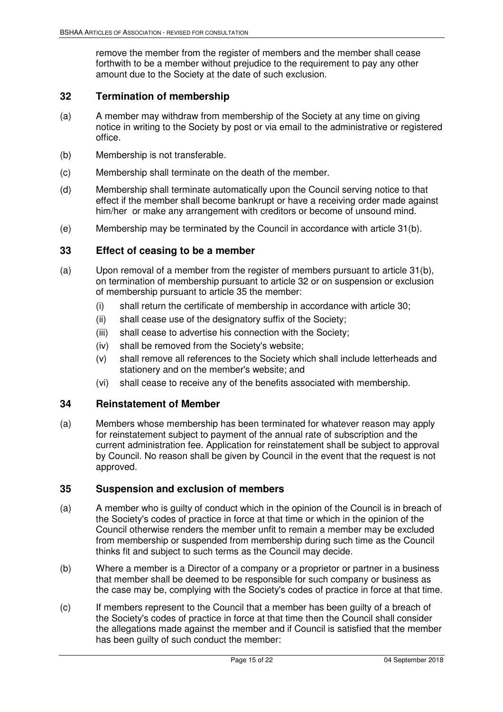remove the member from the register of members and the member shall cease forthwith to be a member without prejudice to the requirement to pay any other amount due to the Society at the date of such exclusion.

#### **32 Termination of membership**

- (a) A member may withdraw from membership of the Society at any time on giving notice in writing to the Society by post or via email to the administrative or registered office.
- (b) Membership is not transferable.
- (c) Membership shall terminate on the death of the member.
- (d) Membership shall terminate automatically upon the Council serving notice to that effect if the member shall become bankrupt or have a receiving order made against him/her or make any arrangement with creditors or become of unsound mind.
- (e) Membership may be terminated by the Council in accordance with article 31(b).

#### **33 Effect of ceasing to be a member**

- (a) Upon removal of a member from the register of members pursuant to article 31(b), on termination of membership pursuant to article 32 or on suspension or exclusion of membership pursuant to article 35 the member:
	- (i) shall return the certificate of membership in accordance with article 30;
	- (ii) shall cease use of the designatory suffix of the Society;
	- (iii) shall cease to advertise his connection with the Society;
	- (iv) shall be removed from the Society's website;
	- (v) shall remove all references to the Society which shall include letterheads and stationery and on the member's website; and
	- (vi) shall cease to receive any of the benefits associated with membership.

#### **34 Reinstatement of Member**

(a) Members whose membership has been terminated for whatever reason may apply for reinstatement subject to payment of the annual rate of subscription and the current administration fee. Application for reinstatement shall be subject to approval by Council. No reason shall be given by Council in the event that the request is not approved.

#### **35 Suspension and exclusion of members**

- (a) A member who is guilty of conduct which in the opinion of the Council is in breach of the Society's codes of practice in force at that time or which in the opinion of the Council otherwise renders the member unfit to remain a member may be excluded from membership or suspended from membership during such time as the Council thinks fit and subject to such terms as the Council may decide.
- (b) Where a member is a Director of a company or a proprietor or partner in a business that member shall be deemed to be responsible for such company or business as the case may be, complying with the Society's codes of practice in force at that time.
- (c) If members represent to the Council that a member has been guilty of a breach of the Society's codes of practice in force at that time then the Council shall consider the allegations made against the member and if Council is satisfied that the member has been guilty of such conduct the member: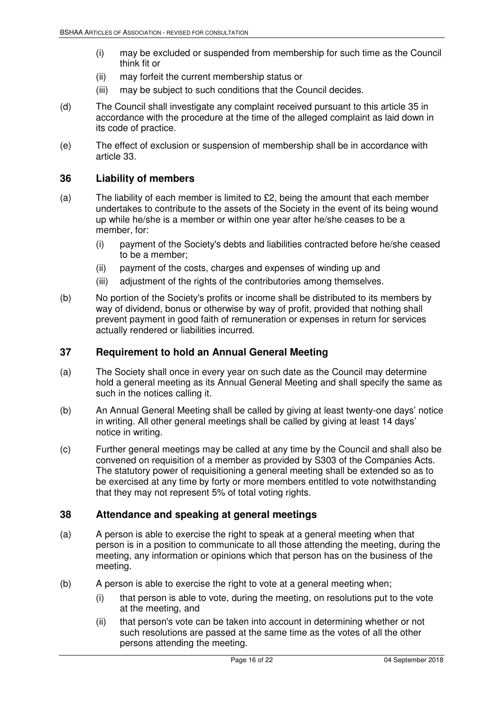- (i) may be excluded or suspended from membership for such time as the Council think fit or
- (ii) may forfeit the current membership status or
- (iii) may be subject to such conditions that the Council decides.
- (d) The Council shall investigate any complaint received pursuant to this article 35 in accordance with the procedure at the time of the alleged complaint as laid down in its code of practice.
- (e) The effect of exclusion or suspension of membership shall be in accordance with article 33.

#### **36 Liability of members**

- (a) The liability of each member is limited to  $£2$ , being the amount that each member undertakes to contribute to the assets of the Society in the event of its being wound up while he/she is a member or within one year after he/she ceases to be a member, for:
	- (i) payment of the Society's debts and liabilities contracted before he/she ceased to be a member;
	- (ii) payment of the costs, charges and expenses of winding up and
	- (iii) adjustment of the rights of the contributories among themselves.
- (b) No portion of the Society's profits or income shall be distributed to its members by way of dividend, bonus or otherwise by way of profit, provided that nothing shall prevent payment in good faith of remuneration or expenses in return for services actually rendered or liabilities incurred.

#### **37 Requirement to hold an Annual General Meeting**

- (a) The Society shall once in every year on such date as the Council may determine hold a general meeting as its Annual General Meeting and shall specify the same as such in the notices calling it.
- (b) An Annual General Meeting shall be called by giving at least twenty-one days' notice in writing. All other general meetings shall be called by giving at least 14 days' notice in writing.
- (c) Further general meetings may be called at any time by the Council and shall also be convened on requisition of a member as provided by S303 of the Companies Acts. The statutory power of requisitioning a general meeting shall be extended so as to be exercised at any time by forty or more members entitled to vote notwithstanding that they may not represent 5% of total voting rights.

#### **38 Attendance and speaking at general meetings**

- (a) A person is able to exercise the right to speak at a general meeting when that person is in a position to communicate to all those attending the meeting, during the meeting, any information or opinions which that person has on the business of the meeting.
- (b) A person is able to exercise the right to vote at a general meeting when;
	- (i) that person is able to vote, during the meeting, on resolutions put to the vote at the meeting, and
	- (ii) that person's vote can be taken into account in determining whether or not such resolutions are passed at the same time as the votes of all the other persons attending the meeting.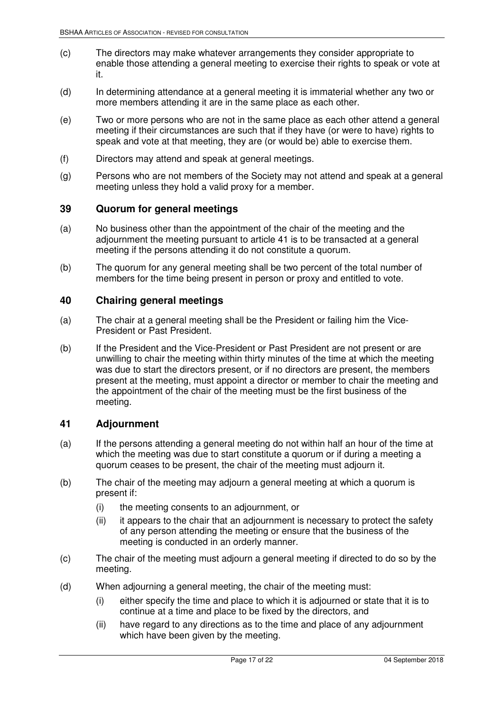- (c) The directors may make whatever arrangements they consider appropriate to enable those attending a general meeting to exercise their rights to speak or vote at it.
- (d) In determining attendance at a general meeting it is immaterial whether any two or more members attending it are in the same place as each other.
- (e) Two or more persons who are not in the same place as each other attend a general meeting if their circumstances are such that if they have (or were to have) rights to speak and vote at that meeting, they are (or would be) able to exercise them.
- (f) Directors may attend and speak at general meetings.
- (g) Persons who are not members of the Society may not attend and speak at a general meeting unless they hold a valid proxy for a member.

#### **39 Quorum for general meetings**

- (a) No business other than the appointment of the chair of the meeting and the adjournment the meeting pursuant to article 41 is to be transacted at a general meeting if the persons attending it do not constitute a quorum.
- (b) The quorum for any general meeting shall be two percent of the total number of members for the time being present in person or proxy and entitled to vote.

#### **40 Chairing general meetings**

- (a) The chair at a general meeting shall be the President or failing him the Vice-President or Past President.
- (b) If the President and the Vice-President or Past President are not present or are unwilling to chair the meeting within thirty minutes of the time at which the meeting was due to start the directors present, or if no directors are present, the members present at the meeting, must appoint a director or member to chair the meeting and the appointment of the chair of the meeting must be the first business of the meeting.

#### **41 Adjournment**

- (a) If the persons attending a general meeting do not within half an hour of the time at which the meeting was due to start constitute a quorum or if during a meeting a quorum ceases to be present, the chair of the meeting must adjourn it.
- (b) The chair of the meeting may adjourn a general meeting at which a quorum is present if:
	- (i) the meeting consents to an adjournment, or
	- (ii) it appears to the chair that an adjournment is necessary to protect the safety of any person attending the meeting or ensure that the business of the meeting is conducted in an orderly manner.
- (c) The chair of the meeting must adjourn a general meeting if directed to do so by the meeting.
- (d) When adjourning a general meeting, the chair of the meeting must:
	- (i) either specify the time and place to which it is adjourned or state that it is to continue at a time and place to be fixed by the directors, and
	- (ii) have regard to any directions as to the time and place of any adjournment which have been given by the meeting.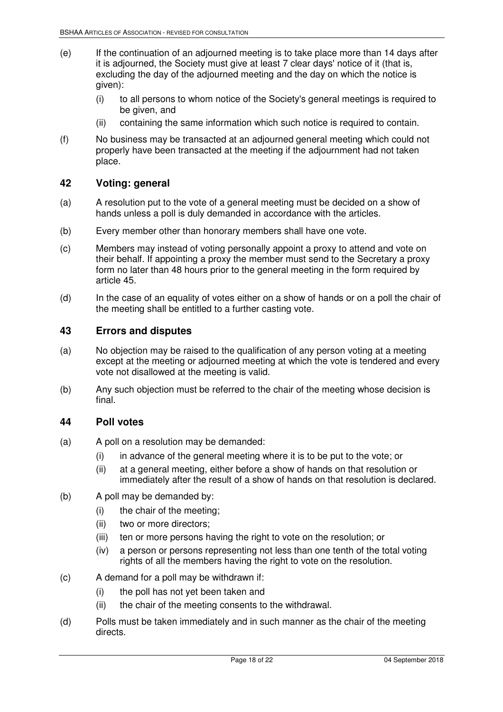- (e) If the continuation of an adjourned meeting is to take place more than 14 days after it is adjourned, the Society must give at least 7 clear days' notice of it (that is, excluding the day of the adjourned meeting and the day on which the notice is given):
	- (i) to all persons to whom notice of the Society's general meetings is required to be given, and
	- (ii) containing the same information which such notice is required to contain.
- (f) No business may be transacted at an adjourned general meeting which could not properly have been transacted at the meeting if the adjournment had not taken place.

#### **42 Voting: general**

- (a) A resolution put to the vote of a general meeting must be decided on a show of hands unless a poll is duly demanded in accordance with the articles.
- (b) Every member other than honorary members shall have one vote.
- (c) Members may instead of voting personally appoint a proxy to attend and vote on their behalf. If appointing a proxy the member must send to the Secretary a proxy form no later than 48 hours prior to the general meeting in the form required by article 45.
- (d) In the case of an equality of votes either on a show of hands or on a poll the chair of the meeting shall be entitled to a further casting vote.

#### **43 Errors and disputes**

- (a) No objection may be raised to the qualification of any person voting at a meeting except at the meeting or adjourned meeting at which the vote is tendered and every vote not disallowed at the meeting is valid.
- (b) Any such objection must be referred to the chair of the meeting whose decision is final.

#### **44 Poll votes**

- (a) A poll on a resolution may be demanded:
	- (i) in advance of the general meeting where it is to be put to the vote; or
	- (ii) at a general meeting, either before a show of hands on that resolution or immediately after the result of a show of hands on that resolution is declared.
- (b) A poll may be demanded by:
	- (i) the chair of the meeting;
	- (ii) two or more directors;
	- (iii) ten or more persons having the right to vote on the resolution; or
	- (iv) a person or persons representing not less than one tenth of the total voting rights of all the members having the right to vote on the resolution.
- (c) A demand for a poll may be withdrawn if:
	- (i) the poll has not yet been taken and
	- (ii) the chair of the meeting consents to the withdrawal.
- (d) Polls must be taken immediately and in such manner as the chair of the meeting directs.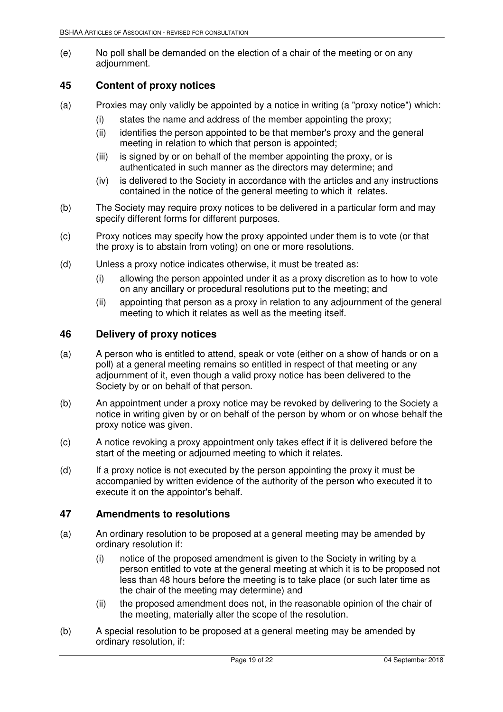(e) No poll shall be demanded on the election of a chair of the meeting or on any adjournment.

#### **45 Content of proxy notices**

- (a) Proxies may only validly be appointed by a notice in writing (a "proxy notice") which:
	- (i) states the name and address of the member appointing the proxy;
	- (ii) identifies the person appointed to be that member's proxy and the general meeting in relation to which that person is appointed;
	- (iii) is signed by or on behalf of the member appointing the proxy, or is authenticated in such manner as the directors may determine; and
	- (iv) is delivered to the Society in accordance with the articles and any instructions contained in the notice of the general meeting to which it relates.
- (b) The Society may require proxy notices to be delivered in a particular form and may specify different forms for different purposes.
- (c) Proxy notices may specify how the proxy appointed under them is to vote (or that the proxy is to abstain from voting) on one or more resolutions.
- (d) Unless a proxy notice indicates otherwise, it must be treated as:
	- (i) allowing the person appointed under it as a proxy discretion as to how to vote on any ancillary or procedural resolutions put to the meeting; and
	- (ii) appointing that person as a proxy in relation to any adjournment of the general meeting to which it relates as well as the meeting itself.

#### **46 Delivery of proxy notices**

- (a) A person who is entitled to attend, speak or vote (either on a show of hands or on a poll) at a general meeting remains so entitled in respect of that meeting or any adjournment of it, even though a valid proxy notice has been delivered to the Society by or on behalf of that person.
- (b) An appointment under a proxy notice may be revoked by delivering to the Society a notice in writing given by or on behalf of the person by whom or on whose behalf the proxy notice was given.
- (c) A notice revoking a proxy appointment only takes effect if it is delivered before the start of the meeting or adjourned meeting to which it relates.
- (d) If a proxy notice is not executed by the person appointing the proxy it must be accompanied by written evidence of the authority of the person who executed it to execute it on the appointor's behalf.

#### **47 Amendments to resolutions**

- (a) An ordinary resolution to be proposed at a general meeting may be amended by ordinary resolution if:
	- (i) notice of the proposed amendment is given to the Society in writing by a person entitled to vote at the general meeting at which it is to be proposed not less than 48 hours before the meeting is to take place (or such later time as the chair of the meeting may determine) and
	- (ii) the proposed amendment does not, in the reasonable opinion of the chair of the meeting, materially alter the scope of the resolution.
- (b) A special resolution to be proposed at a general meeting may be amended by ordinary resolution, if: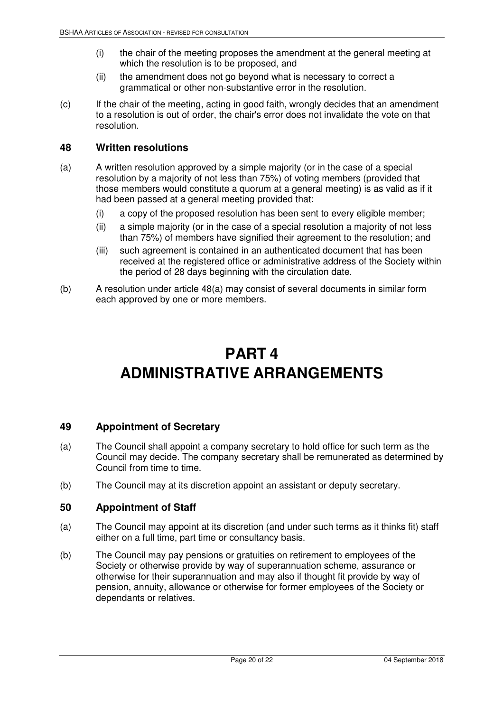- (i) the chair of the meeting proposes the amendment at the general meeting at which the resolution is to be proposed, and
- (ii) the amendment does not go beyond what is necessary to correct a grammatical or other non-substantive error in the resolution.
- (c) If the chair of the meeting, acting in good faith, wrongly decides that an amendment to a resolution is out of order, the chair's error does not invalidate the vote on that resolution.

#### **48 Written resolutions**

- (a) A written resolution approved by a simple majority (or in the case of a special resolution by a majority of not less than 75%) of voting members (provided that those members would constitute a quorum at a general meeting) is as valid as if it had been passed at a general meeting provided that:
	- (i) a copy of the proposed resolution has been sent to every eligible member;
	- (ii) a simple majority (or in the case of a special resolution a majority of not less than 75%) of members have signified their agreement to the resolution; and
	- (iii) such agreement is contained in an authenticated document that has been received at the registered office or administrative address of the Society within the period of 28 days beginning with the circulation date.
- (b) A resolution under article 48(a) may consist of several documents in similar form each approved by one or more members.

# **PART 4 ADMINISTRATIVE ARRANGEMENTS**

#### **49 Appointment of Secretary**

- (a) The Council shall appoint a company secretary to hold office for such term as the Council may decide. The company secretary shall be remunerated as determined by Council from time to time.
- (b) The Council may at its discretion appoint an assistant or deputy secretary.

#### **50 Appointment of Staff**

- (a) The Council may appoint at its discretion (and under such terms as it thinks fit) staff either on a full time, part time or consultancy basis.
- (b) The Council may pay pensions or gratuities on retirement to employees of the Society or otherwise provide by way of superannuation scheme, assurance or otherwise for their superannuation and may also if thought fit provide by way of pension, annuity, allowance or otherwise for former employees of the Society or dependants or relatives.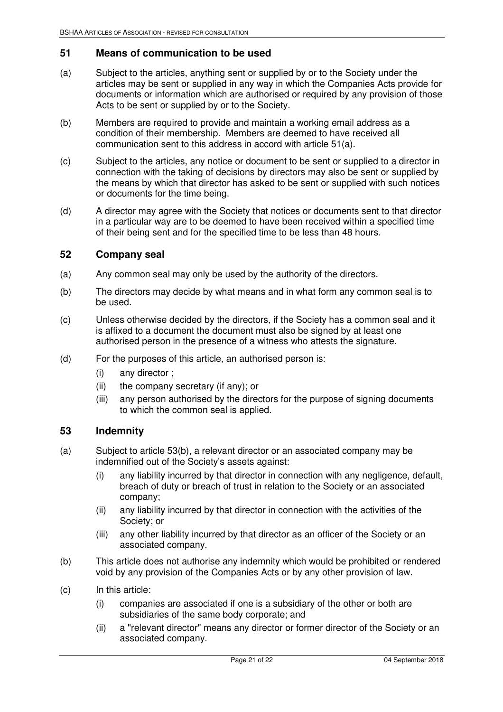#### **51 Means of communication to be used**

- (a) Subject to the articles, anything sent or supplied by or to the Society under the articles may be sent or supplied in any way in which the Companies Acts provide for documents or information which are authorised or required by any provision of those Acts to be sent or supplied by or to the Society.
- (b) Members are required to provide and maintain a working email address as a condition of their membership. Members are deemed to have received all communication sent to this address in accord with article 51(a).
- (c) Subject to the articles, any notice or document to be sent or supplied to a director in connection with the taking of decisions by directors may also be sent or supplied by the means by which that director has asked to be sent or supplied with such notices or documents for the time being.
- (d) A director may agree with the Society that notices or documents sent to that director in a particular way are to be deemed to have been received within a specified time of their being sent and for the specified time to be less than 48 hours.

#### **52 Company seal**

- (a) Any common seal may only be used by the authority of the directors.
- (b) The directors may decide by what means and in what form any common seal is to be used.
- (c) Unless otherwise decided by the directors, if the Society has a common seal and it is affixed to a document the document must also be signed by at least one authorised person in the presence of a witness who attests the signature.
- (d) For the purposes of this article, an authorised person is:
	- (i) any director ;
	- (ii) the company secretary (if any); or
	- (iii) any person authorised by the directors for the purpose of signing documents to which the common seal is applied.

#### **53 Indemnity**

- (a) Subject to article 53(b), a relevant director or an associated company may be indemnified out of the Society's assets against:
	- (i) any liability incurred by that director in connection with any negligence, default, breach of duty or breach of trust in relation to the Society or an associated company;
	- (ii) any liability incurred by that director in connection with the activities of the Society; or
	- (iii) any other liability incurred by that director as an officer of the Society or an associated company.
- (b) This article does not authorise any indemnity which would be prohibited or rendered void by any provision of the Companies Acts or by any other provision of law.
- (c) In this article:
	- (i) companies are associated if one is a subsidiary of the other or both are subsidiaries of the same body corporate; and
	- (ii) a "relevant director" means any director or former director of the Society or an associated company.